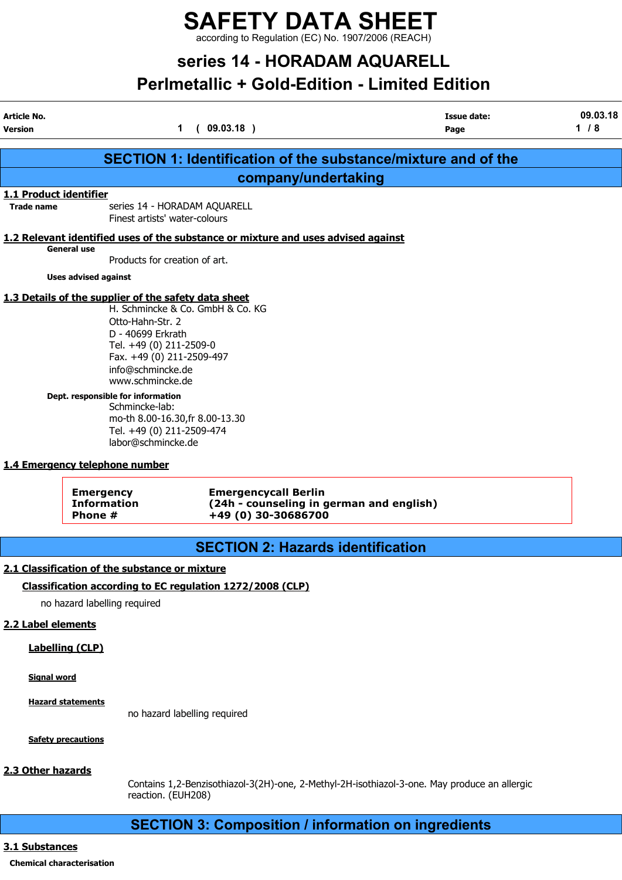# series 14 - HORADAM AQUARELL

# Perlmetallic + Gold-Edition - Limited Edition

| Article No.<br><b>Version</b> |                                                                                                                                                                                                                                                                                                          | 1<br>(09.03.18)                                                                                | <b>Issue date:</b><br>Page                                           | 09.03.18<br>1/8 |
|-------------------------------|----------------------------------------------------------------------------------------------------------------------------------------------------------------------------------------------------------------------------------------------------------------------------------------------------------|------------------------------------------------------------------------------------------------|----------------------------------------------------------------------|-----------------|
|                               |                                                                                                                                                                                                                                                                                                          |                                                                                                | <b>SECTION 1: Identification of the substance/mixture and of the</b> |                 |
|                               |                                                                                                                                                                                                                                                                                                          | company/undertaking                                                                            |                                                                      |                 |
| 1.1 Product identifier        |                                                                                                                                                                                                                                                                                                          |                                                                                                |                                                                      |                 |
| <b>Trade name</b>             | Finest artists' water-colours                                                                                                                                                                                                                                                                            | series 14 - HORADAM AQUARELL                                                                   |                                                                      |                 |
|                               | General use<br>Products for creation of art.                                                                                                                                                                                                                                                             | 1.2 Relevant identified uses of the substance or mixture and uses advised against              |                                                                      |                 |
|                               | <b>Uses advised against</b>                                                                                                                                                                                                                                                                              |                                                                                                |                                                                      |                 |
|                               | 1.3 Details of the supplier of the safety data sheet<br>Otto-Hahn-Str. 2<br>D - 40699 Erkrath<br>Tel. +49 (0) 211-2509-0<br>Fax. +49 (0) 211-2509-497<br>info@schmincke.de<br>www.schmincke.de<br>Dept. responsible for information<br>Schmincke-lab:<br>Tel. +49 (0) 211-2509-474<br>labor@schmincke.de | H. Schmincke & Co. GmbH & Co. KG<br>mo-th 8.00-16.30, fr 8.00-13.30                            |                                                                      |                 |
|                               | 1.4 Emergency telephone number                                                                                                                                                                                                                                                                           |                                                                                                |                                                                      |                 |
|                               | <b>Emergency</b><br><b>Information</b><br>Phone #                                                                                                                                                                                                                                                        | <b>Emergencycall Berlin</b><br>(24h - counseling in german and english)<br>+49 (0) 30-30686700 |                                                                      |                 |
|                               |                                                                                                                                                                                                                                                                                                          | <b>SECTION 2: Hazards identification</b>                                                       |                                                                      |                 |
|                               | 2.1 Classification of the substance or mixture                                                                                                                                                                                                                                                           |                                                                                                |                                                                      |                 |

### Classification according to EC regulation 1272/2008 (CLP)

no hazard labelling required

### 2.2 Label elements

### Labelling (CLP)

Signal word

Hazard statements

no hazard labelling required

Safety precautions

### 2.3 Other hazards

Contains 1,2-Benzisothiazol-3(2H)-one, 2-Methyl-2H-isothiazol-3-one. May produce an allergic reaction. (EUH208)

### SECTION 3: Composition / information on ingredients

### 3.1 Substances

### Chemical characterisation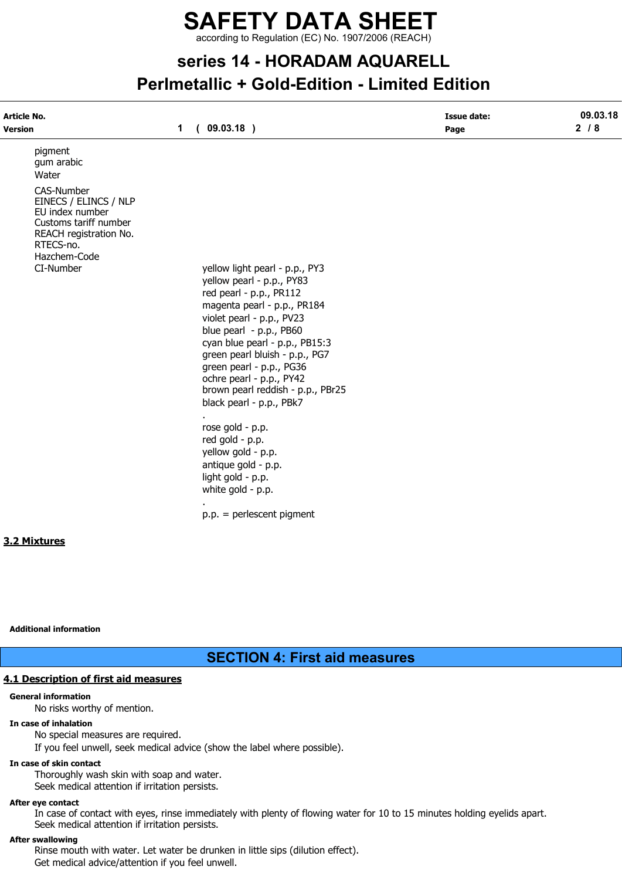# series 14 - HORADAM AQUARELL Perlmetallic + Gold-Edition - Limited Edition

| Article No.                                                                                                                            |             |                                                                                                                                                         | <b>Issue date:</b> | 09.03.18 |
|----------------------------------------------------------------------------------------------------------------------------------------|-------------|---------------------------------------------------------------------------------------------------------------------------------------------------------|--------------------|----------|
| <b>Version</b>                                                                                                                         | $\mathbf 1$ | (09.03.18)                                                                                                                                              | Page               | $2/8$    |
| pigment<br>gum arabic<br>Water                                                                                                         |             |                                                                                                                                                         |                    |          |
| CAS-Number<br>EINECS / ELINCS / NLP<br>EU index number<br>Customs tariff number<br>REACH registration No.<br>RTECS-no.<br>Hazchem-Code |             |                                                                                                                                                         |                    |          |
| CI-Number                                                                                                                              |             | yellow light pearl - p.p., PY3<br>yellow pearl - p.p., PY83<br>red pearl - p.p., PR112<br>magenta pearl - p.p., PR184                                   |                    |          |
|                                                                                                                                        |             | violet pearl - p.p., PV23<br>blue pearl - p.p., PB60<br>cyan blue pearl - p.p., PB15:3                                                                  |                    |          |
|                                                                                                                                        |             | green pearl bluish - p.p., PG7<br>green pearl - p.p., PG36<br>ochre pearl - p.p., PY42<br>brown pearl reddish - p.p., PBr25<br>black pearl - p.p., PBk7 |                    |          |
|                                                                                                                                        |             | rose gold - p.p.<br>red gold - p.p.<br>yellow gold - p.p.                                                                                               |                    |          |
|                                                                                                                                        |             | antique gold - p.p.<br>light gold - p.p.<br>white gold - p.p.                                                                                           |                    |          |
|                                                                                                                                        | ×.          | $p.p. = perlescent pigment$                                                                                                                             |                    |          |
| 3.2 Mixtures                                                                                                                           |             |                                                                                                                                                         |                    |          |
|                                                                                                                                        |             |                                                                                                                                                         |                    |          |

Additional information

SECTION 4: First aid measures

### 4.1 Description of first aid measures

### General information

No risks worthy of mention.

### In case of inhalation

No special measures are required. If you feel unwell, seek medical advice (show the label where possible).

### In case of skin contact

Thoroughly wash skin with soap and water. Seek medical attention if irritation persists.

### After eye contact

In case of contact with eyes, rinse immediately with plenty of flowing water for 10 to 15 minutes holding eyelids apart. Seek medical attention if irritation persists.

### After swallowing

Rinse mouth with water. Let water be drunken in little sips (dilution effect). Get medical advice/attention if you feel unwell.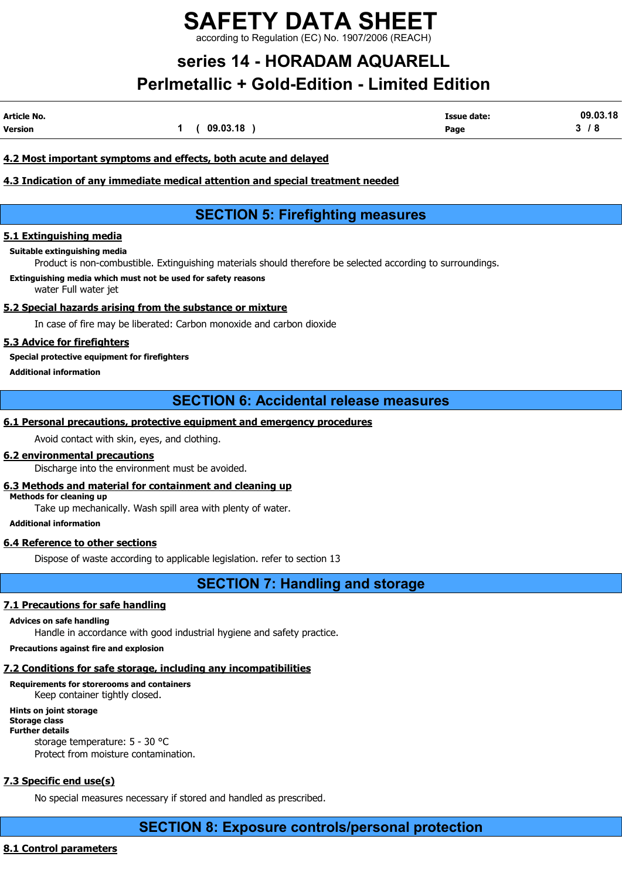# series 14 - HORADAM AQUARELL Perlmetallic + Gold-Edition - Limited Edition

| Article No. |          | Issue date: | 09.03.18 |
|-------------|----------|-------------|----------|
| Version     | 09.03.18 | Page        | -        |

### 4.2 Most important symptoms and effects, both acute and delayed

### 4.3 Indication of any immediate medical attention and special treatment needed

### SECTION 5: Firefighting measures

### 5.1 Extinguishing media

Suitable extinguishing media

Product is non-combustible. Extinguishing materials should therefore be selected according to surroundings.

Extinguishing media which must not be used for safety reasons water Full water jet

### 5.2 Special hazards arising from the substance or mixture

In case of fire may be liberated: Carbon monoxide and carbon dioxide

### 5.3 Advice for firefighters

Special protective equipment for firefighters

Additional information

SECTION 6: Accidental release measures

### 6.1 Personal precautions, protective equipment and emergency procedures

Avoid contact with skin, eyes, and clothing.

### 6.2 environmental precautions

Discharge into the environment must be avoided.

### 6.3 Methods and material for containment and cleaning up

Methods for cleaning up

Take up mechanically. Wash spill area with plenty of water.

### Additional information

### 6.4 Reference to other sections

Dispose of waste according to applicable legislation. refer to section 13

SECTION 7: Handling and storage

### 7.1 Precautions for safe handling

Advices on safe handling

Handle in accordance with good industrial hygiene and safety practice.

### Precautions against fire and explosion

### 7.2 Conditions for safe storage, including any incompatibilities

Requirements for storerooms and containers Keep container tightly closed.

### Hints on joint storage

Storage class Further details storage temperature: 5 - 30 °C Protect from moisture contamination.

### 7.3 Specific end use(s)

No special measures necessary if stored and handled as prescribed.

### SECTION 8: Exposure controls/personal protection

### 8.1 Control parameters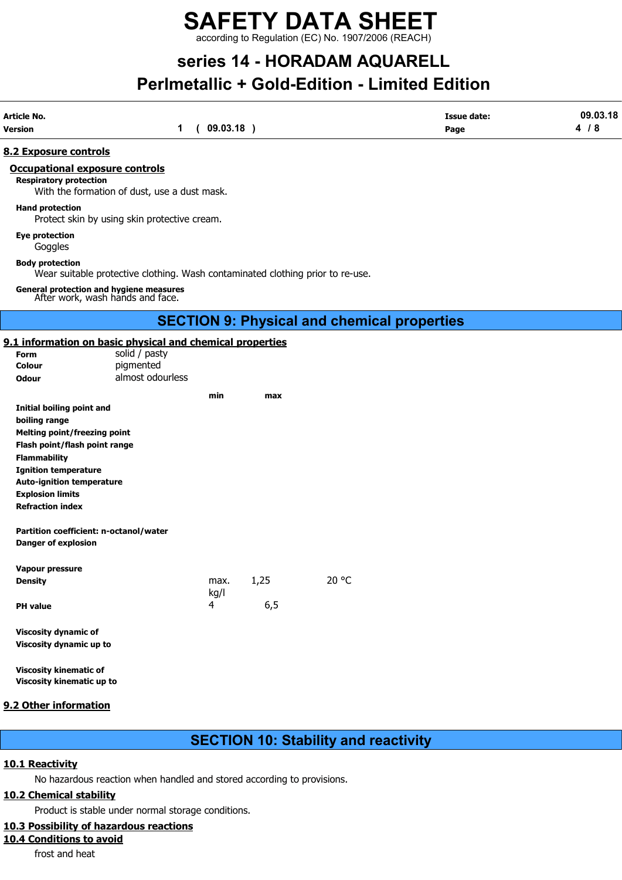# SAFETY DATA SHEET

according to Regulation (EC) No. 1907/2006 (REACH)

## series 14 - HORADAM AQUARELL Perlmetallic + Gold-Edition - Limited Edition

| <b>Article No.</b> |          | <b>Issue date:</b> | 09.03.18 |
|--------------------|----------|--------------------|----------|
| <b>Version</b>     | 09.03.18 | Page               | - 0      |
|                    |          |                    |          |

### 8.2 Exposure controls

### Occupational exposure controls

Respiratory protection

With the formation of dust, use a dust mask.

#### Hand protection

Protect skin by using skin protective cream.

Eye protection

Goggles

Body protection

Wear suitable protective clothing. Wash contaminated clothing prior to re-use.

General protection and hygiene measures After work, wash hands and face.

### SECTION 9: Physical and chemical properties

### 9.1 information on basic physical and chemical properties

| <u>1 miormation on basic physical and chemical properties</u><br>Form | solid / pasty    |      |      |       |
|-----------------------------------------------------------------------|------------------|------|------|-------|
| Colour                                                                | pigmented        |      |      |       |
| <b>Odour</b>                                                          | almost odourless |      |      |       |
|                                                                       |                  | min  | max  |       |
| Initial boiling point and                                             |                  |      |      |       |
| boiling range                                                         |                  |      |      |       |
| <b>Melting point/freezing point</b>                                   |                  |      |      |       |
| Flash point/flash point range                                         |                  |      |      |       |
| <b>Flammability</b>                                                   |                  |      |      |       |
| <b>Ignition temperature</b>                                           |                  |      |      |       |
| <b>Auto-ignition temperature</b>                                      |                  |      |      |       |
| <b>Explosion limits</b>                                               |                  |      |      |       |
| <b>Refraction index</b>                                               |                  |      |      |       |
| Partition coefficient: n-octanol/water<br><b>Danger of explosion</b>  |                  |      |      |       |
| <b>Vapour pressure</b>                                                |                  |      |      |       |
| <b>Density</b>                                                        |                  | max. | 1,25 | 20 °C |
|                                                                       |                  | kg/l |      |       |
| <b>PH</b> value                                                       |                  | 4    | 6,5  |       |
|                                                                       |                  |      |      |       |
| <b>Viscosity dynamic of</b>                                           |                  |      |      |       |
| Viscosity dynamic up to                                               |                  |      |      |       |
|                                                                       |                  |      |      |       |

Viscosity kinematic of Viscosity kinematic up to

### 9.2 Other information

### SECTION 10: Stability and reactivity

### 10.1 Reactivity

No hazardous reaction when handled and stored according to provisions.

### 10.2 Chemical stability

Product is stable under normal storage conditions.

### 10.3 Possibility of hazardous reactions

### 10.4 Conditions to avoid

frost and heat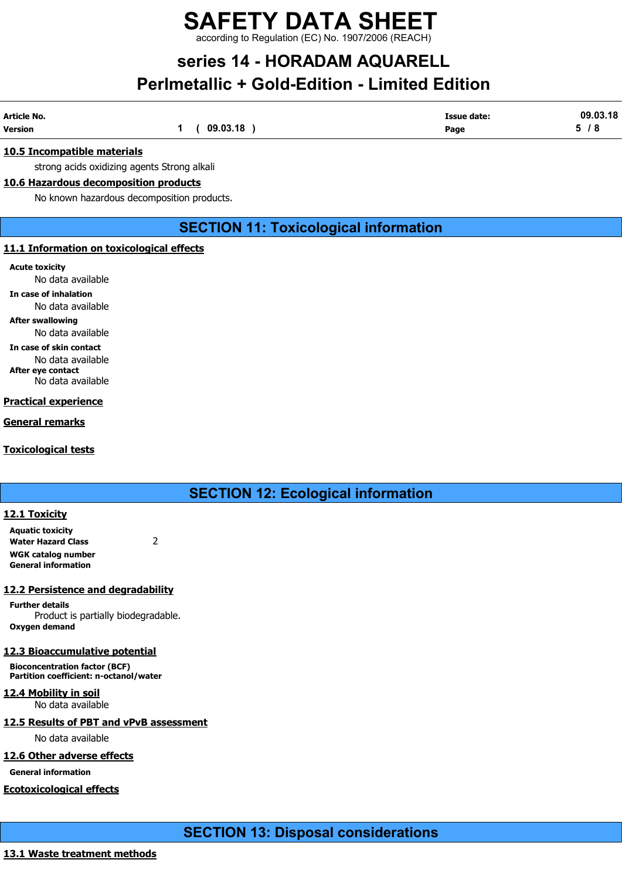# SAFETY DATA SHEET

according to Regulation (EC) No. 1907/2006 (REACH)

## series 14 - HORADAM AQUARELL Perlmetallic + Gold-Edition - Limited Edition

| Article No.    |          | <b>Issue date:</b> | 09.03.18 |
|----------------|----------|--------------------|----------|
| <b>Version</b> | 09.03.18 | Page               | -0       |

### 10.5 Incompatible materials

strong acids oxidizing agents Strong alkali

### 10.6 Hazardous decomposition products

No known hazardous decomposition products.

### SECTION 11: Toxicological information

#### 11.1 Information on toxicological effects

Acute toxicity

No data available

In case of inhalation

No data available

### After swallowing

No data available In case of skin contact No data available

After eye contact No data available

### Practical experience

General remarks

Toxicological tests

SECTION 12: Ecological information

### 12.1 Toxicity

Aquatic toxicity Water Hazard Class 2 WGK catalog number General information

### 12.2 Persistence and degradability

Further details Product is partially biodegradable. Oxygen demand

### 12.3 Bioaccumulative potential

Bioconcentration factor (BCF) Partition coefficient: n-octanol/water

12.4 Mobility in soil No data available

### 12.5 Results of PBT and vPvB assessment

No data available

### 12.6 Other adverse effects

General information

### Ecotoxicological effects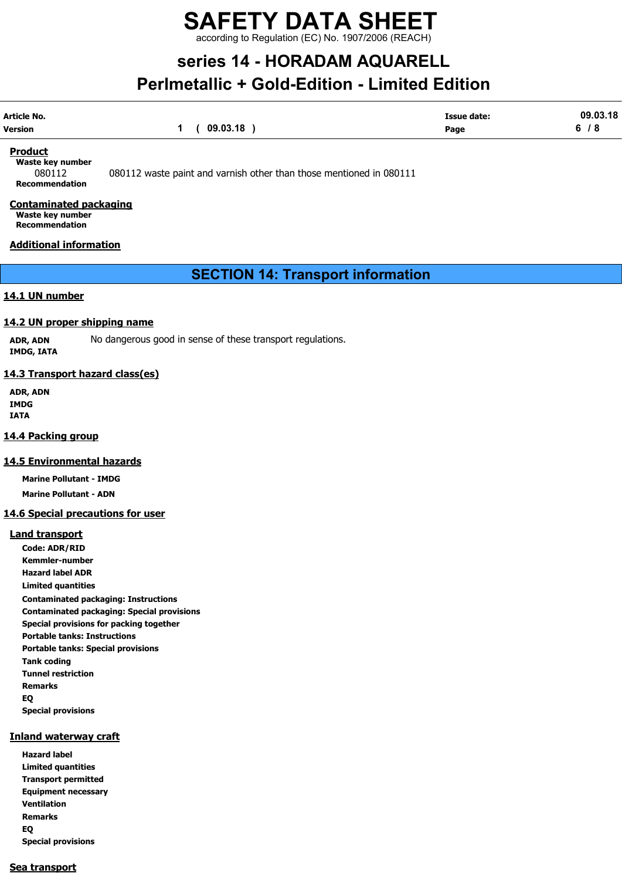# SAFETY DATA SHEET

according to Regulation (EC) No. 1907/2006 (REACH)

## series 14 - HORADAM AQUARELL Perlmetallic + Gold-Edition - Limited Edition

| Article No. |                | <b>Issue date:</b> | 09.03.18 |
|-------------|----------------|--------------------|----------|
| Version     | 1 ( 09.03.18 ) | Page               | 6/8      |

#### **Product**

Waste key number Recommendation

080112 080112 waste paint and varnish other than those mentioned in 080111

### Contaminated packaging Waste key number

Recommendation

### Additional information

SECTION 14: Transport information

### 14.1 UN number

### 14.2 UN proper shipping name

ADR, ADN No dangerous good in sense of these transport regulations. IMDG, IATA

### 14.3 Transport hazard class(es)

ADR, ADN IMDG IATA

### 14.4 Packing group

### 14.5 Environmental hazards

Marine Pollutant - IMDG Marine Pollutant - ADN

### 14.6 Special precautions for user

### Land transport

Code: ADR/RID Kemmler-number Hazard label ADR Limited quantities Contaminated packaging: Instructions Contaminated packaging: Special provisions Special provisions for packing together Portable tanks: Instructions Portable tanks: Special provisions Tank coding Tunnel restriction Remarks EQ Special provisions

### Inland waterway craft

Hazard label Limited quantities Transport permitted Equipment necessary Ventilation Remarks EQ Special provisions

### Sea transport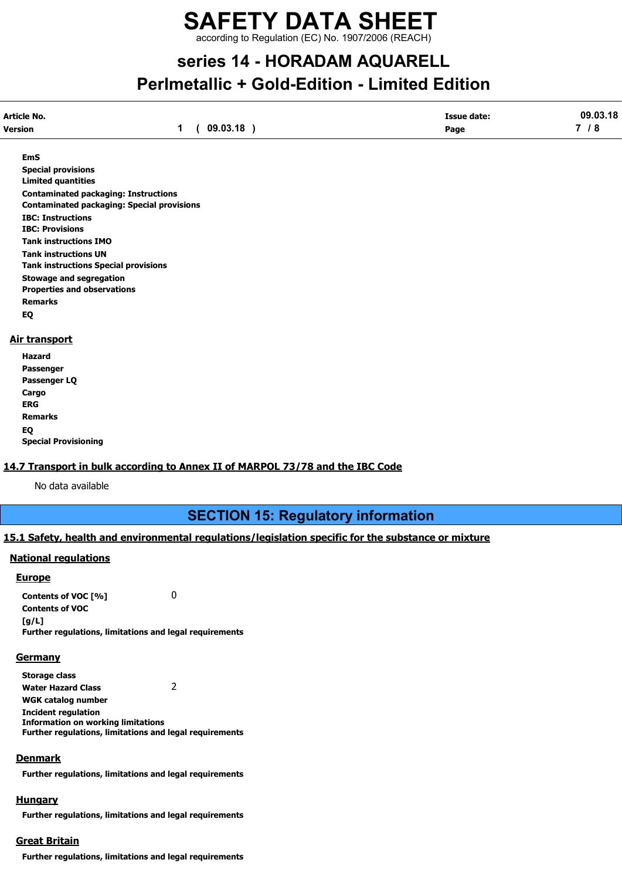## series 14 - HORADAM AQUARELL Perlmetallic + Gold-Edition - Limited Edition

| Article No.    |          | Issue date: | 09.03.18                 |
|----------------|----------|-------------|--------------------------|
| <b>Version</b> | 09.03.18 | Page        | $\overline{\phantom{a}}$ |
|                |          |             |                          |

EmS

Special provisions Limited quantities Contaminated packaging: Instructions Contaminated packaging: Special provisions IBC: Instructions IBC: Provisions Tank instructions IMO Tank instructions UN Tank instructions Special provisions Stowage and segregation Properties and observations Remarks EQ

### Air transport

| Hazard                      |
|-----------------------------|
| Passenger                   |
| Passenger LQ                |
| Cargo                       |
| ERG                         |
| <b>Remarks</b>              |
| EQ                          |
| <b>Special Provisioning</b> |

### 14.7 Transport in bulk according to Annex II of MARPOL 73/78 and the IBC Code

No data available

SECTION 15: Regulatory information

### 15.1 Safety, health and environmental regulations/legislation specific for the substance or mixture

### National regulations

### Europe

Contents of VOC [%] 0 Contents of VOC  $[g/L]$ Further regulations, limitations and legal requirements

### **Germany**

Storage class Water Hazard Class 2 WGK catalog number Incident regulation Information on working limitations Further regulations, limitations and legal requirements

### **Denmark**

Further regulations, limitations and legal requirements

### **Hungary**

Further regulations, limitations and legal requirements

### Great Britain

Further regulations, limitations and legal requirements